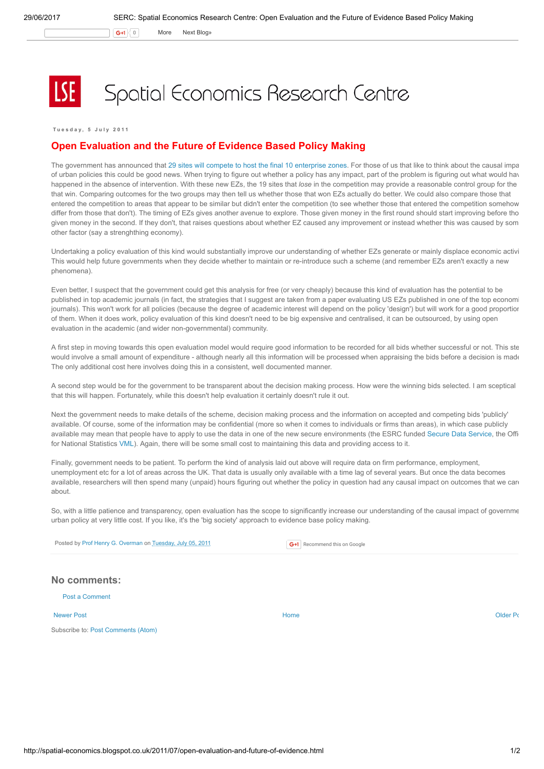$\mathsf{G}$ +1  $\vert$  0 More Next [Blog»](https://www.blogger.com/next-blog?navBar=true&blogID=974562301377041914)

## Spatial Economics Research Centre

Tuesday, 5 July 2011

## Open Evaluation and the Future of Evidence Based Policy Making

The government has announced that 29 sites will compete to host the final 10 [enterprise](http://www.communities.gov.uk/news/regeneration/1936436) zones. For those of us that like to think about the causal impa of urban policies this could be good news. When trying to figure out whether a policy has any impact, part of the problem is figuring out what would have happened in the absence of intervention. With these new EZs, the 19 sites that lose in the competition may provide a reasonable control group for the that win. Comparing outcomes for the two groups may then tell us whether those that won EZs actually do better. We could also compare those that entered the competition to areas that appear to be similar but didn't enter the competition (to see whether those that entered the competition somehow differ from those that don't). The timing of EZs gives another avenue to explore. Those given money in the first round should start improving before tho given money in the second. If they don't, that raises questions about whether EZ caused any improvement or instead whether this was caused by som other factor (say a strenghthing economy).

Undertaking a policy evaluation of this kind would substantially improve our understanding of whether EZs generate or mainly displace economic activi This would help future governments when they decide whether to maintain or re-introduce such a scheme (and remember EZs aren't exactly a new phenomena).

Even better, I suspect that the government could get this analysis for free (or very cheaply) because this kind of evaluation has the potential to be published in top academic journals (in fact, the strategies that I suggest are taken from a paper evaluating US EZs published in one of the top economic journals). This won't work for all policies (because the degree of academic interest will depend on the policy 'design') but will work for a good proportion of them. When it does work, policy evaluation of this kind doesn't need to be big expensive and centralised, it can be outsourced, by using open evaluation in the academic (and wider non-governmental) community.

A first step in moving towards this open evaluation model would require good information to be recorded for all bids whether successful or not. This step would involve a small amount of expenditure - although nearly all this information will be processed when appraising the bids before a decision is made The only additional cost here involves doing this in a consistent, well documented manner.

A second step would be for the government to be transparent about the decision making process. How were the winning bids selected. I am sceptical that this will happen. Fortunately, while this doesn't help evaluation it certainly doesn't rule it out.

Next the government needs to make details of the scheme, decision making process and the information on accepted and competing bids 'publicly' available. Of course, some of the information may be confidential (more so when it comes to individuals or firms than areas), in which case publicly available may mean that people have to apply to use the data in one of the new secure environments (the ESRC funded Secure Data [Service,](http://securedata.data-archive.ac.uk/) the Office for National Statistics [VML\)](http://www.ons.gov.uk/about/who-we-are/our-services/vml/about-the-vml/vml-overview). Again, there will be some small cost to maintaining this data and providing access to it.

Finally, government needs to be patient. To perform the kind of analysis laid out above will require data on firm performance, employment, unemployment etc for a lot of areas across the UK. That data is usually only available with a time lag of several years. But once the data becomes available, researchers will then spend many (unpaid) hours figuring out whether the policy in question had any causal impact on outcomes that we care about.

So, with a little patience and transparency, open evaluation has the scope to significantly increase our understanding of the causal impact of governme urban policy at very little cost. If you like, it's the 'big society' approach to evidence base policy making.

Posted by Prof Henry G. [Overman](https://www.blogger.com/profile/15203876610491317062) on [Tuesday,](http://spatial-economics.blogspot.co.uk/2011/07/open-evaluation-and-future-of-evidence.html) July 05, 2011

G+1 Recommend this on Google

## No comments:

Post a [Comment](https://www.blogger.com/comment.g?blogID=974562301377041914&postID=1042474053947877205)

Subscribe to: Post [Comments](http://spatial-economics.blogspot.com/feeds/1042474053947877205/comments/default) (Atom)

[Newer](http://spatial-economics.blogspot.co.uk/2011/07/open-evaluation-not-just-for-enterprise.html) Post and the contract of the contract of the [Home](http://spatial-economics.blogspot.co.uk/) of the contract of the contract of the contract of the contract of the contract of the contract of the contract of the contract of the contract of the contract of the